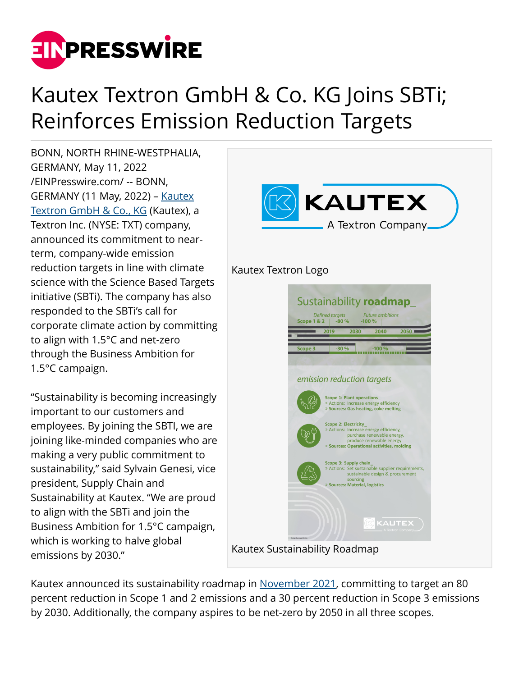

# Kautex Textron GmbH & Co. KG Joins SBTi; Reinforces Emission Reduction Targets

BONN, NORTH RHINE-WESTPHALIA, GERMANY, May 11, 2022 [/EINPresswire.com/](http://www.einpresswire.com) -- BONN, GERMANY (11 May, 2022) – [Kautex](http://kautex.com) [Textron GmbH & Co., KG](http://kautex.com) (Kautex), a Textron Inc. (NYSE: TXT) company, announced its commitment to nearterm, company-wide emission reduction targets in line with climate science with the Science Based Targets initiative (SBTi). The company has also responded to the SBTi's call for corporate climate action by committing to align with 1.5°C and net-zero through the Business Ambition for 1.5°C campaign.

"Sustainability is becoming increasingly important to our customers and employees. By joining the SBTI, we are joining like-minded companies who are making a very public commitment to sustainability," said Sylvain Genesi, vice president, Supply Chain and Sustainability at Kautex. "We are proud to align with the SBTi and join the Business Ambition for 1.5°C campaign, which is working to halve global emissions by 2030."



Kautex announced its sustainability roadmap in [November 2021,](https://www.kautex.com/en/about-us/sustainability) committing to target an 80 percent reduction in Scope 1 and 2 emissions and a 30 percent reduction in Scope 3 emissions by 2030. Additionally, the company aspires to be net-zero by 2050 in all three scopes.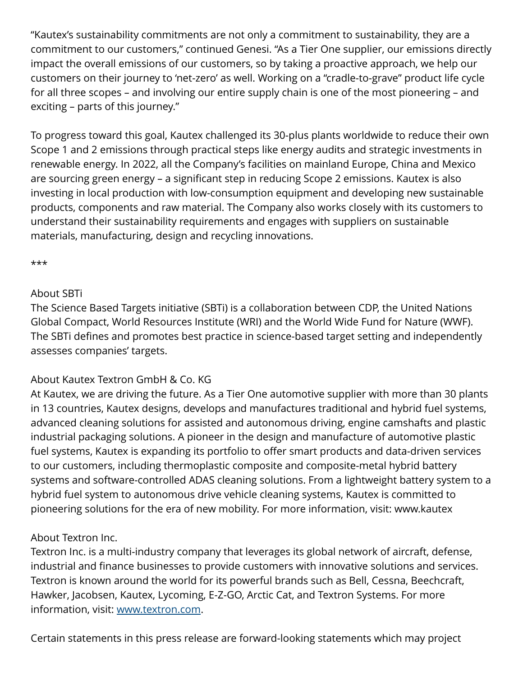"Kautex's sustainability commitments are not only a commitment to sustainability, they are a commitment to our customers," continued Genesi. "As a Tier One supplier, our emissions directly impact the overall emissions of our customers, so by taking a proactive approach, we help our customers on their journey to 'net-zero' as well. Working on a "cradle-to-grave" product life cycle for all three scopes – and involving our entire supply chain is one of the most pioneering – and exciting – parts of this journey."

To progress toward this goal, Kautex challenged its 30-plus plants worldwide to reduce their own Scope 1 and 2 emissions through practical steps like energy audits and strategic investments in renewable energy. In 2022, all the Company's facilities on mainland Europe, China and Mexico are sourcing green energy – a significant step in reducing Scope 2 emissions. Kautex is also investing in local production with low-consumption equipment and developing new sustainable products, components and raw material. The Company also works closely with its customers to understand their sustainability requirements and engages with suppliers on sustainable materials, manufacturing, design and recycling innovations.

#### \*\*\*

### About SBTi

The Science Based Targets initiative (SBTi) is a collaboration between CDP, the United Nations Global Compact, World Resources Institute (WRI) and the World Wide Fund for Nature (WWF). The SBTi defines and promotes best practice in science-based target setting and independently assesses companies' targets.

# About Kautex Textron GmbH & Co. KG

At Kautex, we are driving the future. As a Tier One automotive supplier with more than 30 plants in 13 countries, Kautex designs, develops and manufactures traditional and hybrid fuel systems, advanced cleaning solutions for assisted and autonomous driving, engine camshafts and plastic industrial packaging solutions. A pioneer in the design and manufacture of automotive plastic fuel systems, Kautex is expanding its portfolio to offer smart products and data-driven services to our customers, including thermoplastic composite and composite-metal hybrid battery systems and software-controlled ADAS cleaning solutions. From a lightweight battery system to a hybrid fuel system to autonomous drive vehicle cleaning systems, Kautex is committed to pioneering solutions for the era of new mobility. For more information, visit: www.kautex

# About Textron Inc.

Textron Inc. is a multi-industry company that leverages its global network of aircraft, defense, industrial and finance businesses to provide customers with innovative solutions and services. Textron is known around the world for its powerful brands such as Bell, Cessna, Beechcraft, Hawker, Jacobsen, Kautex, Lycoming, E-Z-GO, Arctic Cat, and Textron Systems. For more information, visit: [www.textron.com](http://www.textron.com).

Certain statements in this press release are forward-looking statements which may project